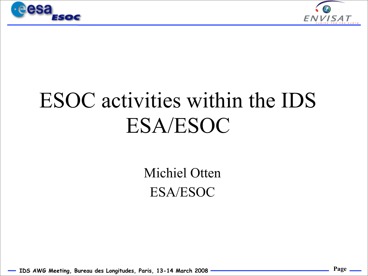



## ESOC activities within the IDS ESA/ESOC

Michiel Otten ESA/ESOC

IDS AWG Meeting, Bureau des Longitudes, Paris, 13-14 March 2008 **Page 1000 and 100 and 100 and 100** Page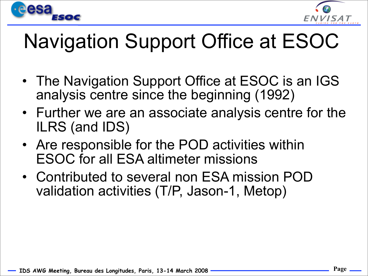



## Navigation Support Office at ESOC

- The Navigation Support Office at ESOC is an IGS analysis centre since the beginning (1992)
- Further we are an associate analysis centre for the ILRS (and IDS)
- Are responsible for the POD activities within ESOC for all ESA altimeter missions
- Contributed to several non ESA mission POD validation activities (T/P, Jason-1, Metop)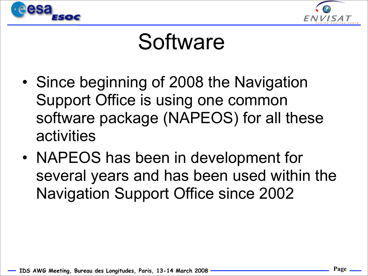



## **Software**

- Since beginning of 2008 the Navigation Support Office is using one common software package (NAPEOS) for all these activities
- NAPEOS has been in development for several years and has been used within the Navigation Support Office since 2002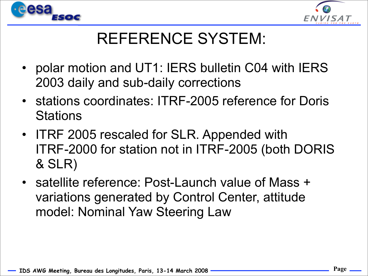



### REFERENCE SYSTEM:

- polar motion and UT1: IERS bulletin C04 with IERS 2003 daily and sub-daily corrections
- stations coordinates: ITRF-2005 reference for Doris **Stations**
- ITRF 2005 rescaled for SLR. Appended with ITRF-2000 for station not in ITRF-2005 (both DORIS & SLR)
- satellite reference: Post-Launch value of Mass + variations generated by Control Center, attitude model: Nominal Yaw Steering Law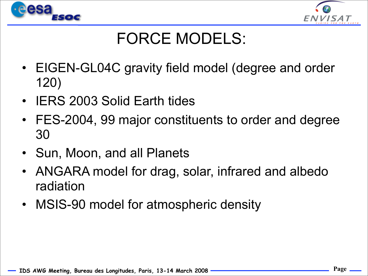



### FORCE MODELS:

- EIGEN-GL04C gravity field model (degree and order 120)
- IERS 2003 Solid Earth tides
- FES-2004, 99 major constituents to order and degree 30
- Sun, Moon, and all Planets
- ANGARA model for drag, solar, infrared and albedo radiation
- MSIS-90 model for atmospheric density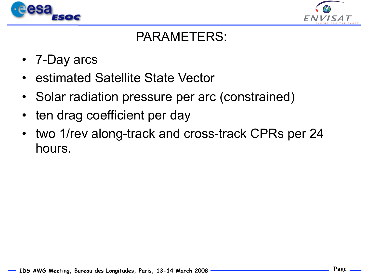



#### PARAMETERS:

- 7-Day arcs
- estimated Satellite State Vector
- Solar radiation pressure per arc (constrained)
- ten drag coefficient per day
- two 1/rev along-track and cross-track CPRs per 24 hours.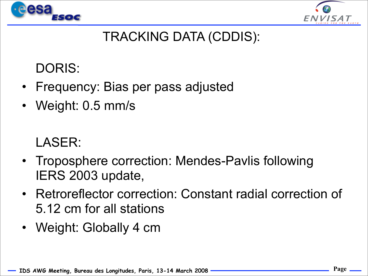



#### TRACKING DATA (CDDIS):

DORIS:

- Frequency: Bias per pass adjusted
- Weight: 0.5 mm/s

LASER:

- Troposphere correction: Mendes-Pavlis following IERS 2003 update,
- Retroreflector correction: Constant radial correction of 5.12 cm for all stations
- Weight: Globally 4 cm